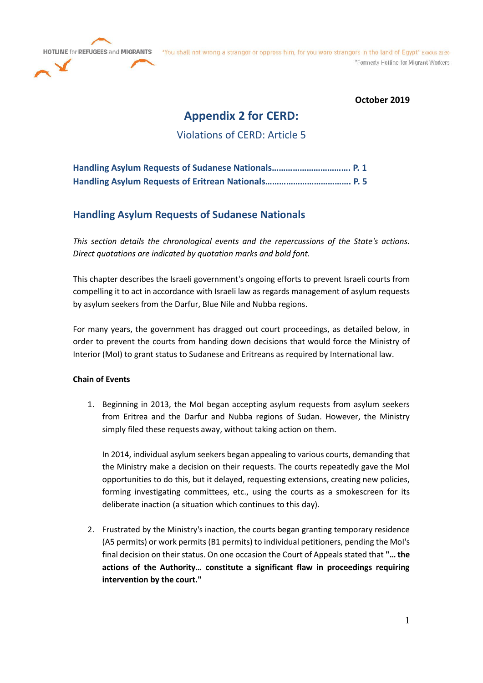**HOTLINE for REFUGEES and MIGRANTS** 



"You shall not wrong a stranger or oppress him, for you were strangers in the land of Egypt" Exodus 22:20 \*Formerly Hotline for Migrant Workers

**October 2019**

# **Appendix 2 for CERD:**

Violations of CERD: Article 5

# **Handling Asylum Requests of Sudanese Nationals**

*This section details the chronological events and the repercussions of the State's actions. Direct quotations are indicated by quotation marks and bold font.*

This chapter describes the Israeli government's ongoing efforts to prevent Israeli courts from compelling it to act in accordance with Israeli law as regards management of asylum requests by asylum seekers from the Darfur, Blue Nile and Nubba regions.

For many years, the government has dragged out court proceedings, as detailed below, in order to prevent the courts from handing down decisions that would force the Ministry of Interior (MoI) to grant status to Sudanese and Eritreans as required by International law.

### **Chain of Events**

1. Beginning in 2013, the MoI began accepting asylum requests from asylum seekers from Eritrea and the Darfur and Nubba regions of Sudan. However, the Ministry simply filed these requests away, without taking action on them.

In 2014, individual asylum seekers began appealing to various courts, demanding that the Ministry make a decision on their requests. The courts repeatedly gave the MoI opportunities to do this, but it delayed, requesting extensions, creating new policies, forming investigating committees, etc., using the courts as a smokescreen for its deliberate inaction (a situation which continues to this day).

2. Frustrated by the Ministry's inaction, the courts began granting temporary residence (A5 permits) or work permits (B1 permits) to individual petitioners, pending the MoI's final decision on their status. On one occasion the Court of Appeals stated that **"… the actions of the Authority… constitute a significant flaw in proceedings requiring intervention by the court."**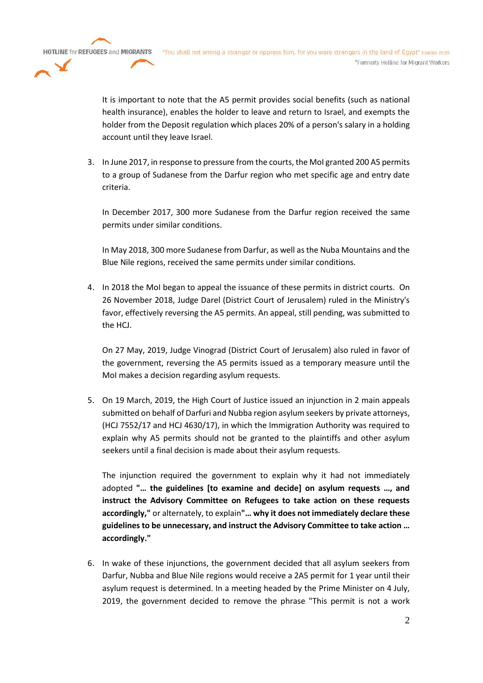**HOTLINE for REFUGEES and MIGRANTS** "You shall not wrong a stranger or oppress him, for you were strangers in the land of Egypt" Exodus 22:20 \*Formerly Hotline for Migrant Workers

> It is important to note that the A5 permit provides social benefits (such as national health insurance), enables the holder to leave and return to Israel, and exempts the holder from the Deposit regulation which places 20% of a person's salary in a holding account until they leave Israel.

3. In June 2017, in response to pressure from the courts, the MoI granted 200 A5 permits to a group of Sudanese from the Darfur region who met specific age and entry date criteria.

In December 2017, 300 more Sudanese from the Darfur region received the same permits under similar conditions.

In May 2018, 300 more Sudanese from Darfur, as well as the Nuba Mountains and the Blue Nile regions, received the same permits under similar conditions.

4. In 2018 the MoI began to appeal the issuance of these permits in district courts. On 26 November 2018, Judge Darel (District Court of Jerusalem) ruled in the Ministry's favor, effectively reversing the A5 permits. An appeal, still pending, was submitted to the HCJ.

On 27 May, 2019, Judge Vinograd (District Court of Jerusalem) also ruled in favor of the government, reversing the A5 permits issued as a temporary measure until the MoI makes a decision regarding asylum requests.

5. On 19 March, 2019, the High Court of Justice issued an injunction in 2 main appeals submitted on behalf of Darfuri and Nubba region asylum seekers by private attorneys, (HCJ 7552/17 and HCJ 4630/17), in which the Immigration Authority was required to explain why A5 permits should not be granted to the plaintiffs and other asylum seekers until a final decision is made about their asylum requests.

The injunction required the government to explain why it had not immediately adopted **"… the guidelines [to examine and decide] on asylum requests …, and instruct the Advisory Committee on Refugees to take action on these requests accordingly,"** or alternately, to explain**"… why it does not immediately declare these guidelines to be unnecessary, and instruct the Advisory Committee to take action … accordingly."**

6. In wake of these injunctions, the government decided that all asylum seekers from Darfur, Nubba and Blue Nile regions would receive a 2A5 permit for 1 year until their asylum request is determined. In a meeting headed by the Prime Minister on 4 July, 2019, the government decided to remove the phrase "This permit is not a work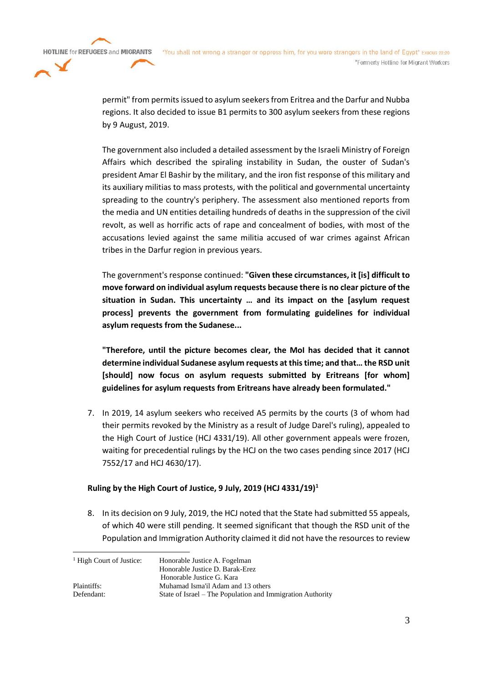permit" from permits issued to asylum seekers from Eritrea and the Darfur and Nubba regions. It also decided to issue B1 permits to 300 asylum seekers from these regions by 9 August, 2019.

The government also included a detailed assessment by the Israeli Ministry of Foreign Affairs which described the spiraling instability in Sudan, the ouster of Sudan's president Amar El Bashir by the military, and the iron fist response of this military and its auxiliary militias to mass protests, with the political and governmental uncertainty spreading to the country's periphery. The assessment also mentioned reports from the media and UN entities detailing hundreds of deaths in the suppression of the civil revolt, as well as horrific acts of rape and concealment of bodies, with most of the accusations levied against the same militia accused of war crimes against African tribes in the Darfur region in previous years.

The government's response continued: **"Given these circumstances, it [is] difficult to move forward on individual asylum requests because there is no clear picture of the situation in Sudan. This uncertainty … and its impact on the [asylum request process] prevents the government from formulating guidelines for individual asylum requests from the Sudanese...**

**"Therefore, until the picture becomes clear, the MoI has decided that it cannot determine individual Sudanese asylum requests at this time; and that… the RSD unit [should] now focus on asylum requests submitted by Eritreans [for whom] guidelines for asylum requests from Eritreans have already been formulated."**

7. In 2019, 14 asylum seekers who received A5 permits by the courts (3 of whom had their permits revoked by the Ministry as a result of Judge Darel's ruling), appealed to the High Court of Justice (HCJ 4331/19). All other government appeals were frozen, waiting for precedential rulings by the HCJ on the two cases pending since 2017 (HCJ 7552/17 and HCJ 4630/17).

#### **Ruling by the High Court of Justice, 9 July, 2019 (HCJ 4331/19)<sup>1</sup>**

8. In its decision on 9 July, 2019, the HCJ noted that the State had submitted 55 appeals, of which 40 were still pending. It seemed significant that though the RSD unit of the Population and Immigration Authority claimed it did not have the resources to review

| <sup>1</sup> High Court of Justice: | Honorable Justice A. Fogelman                              |
|-------------------------------------|------------------------------------------------------------|
|                                     |                                                            |
|                                     | Honorable Justice D. Barak-Erez                            |
|                                     | Honorable Justice G. Kara                                  |
| Plaintiffs:                         | Muhamad Isma'il Adam and 13 others                         |
| Defendant:                          | State of Israel – The Population and Immigration Authority |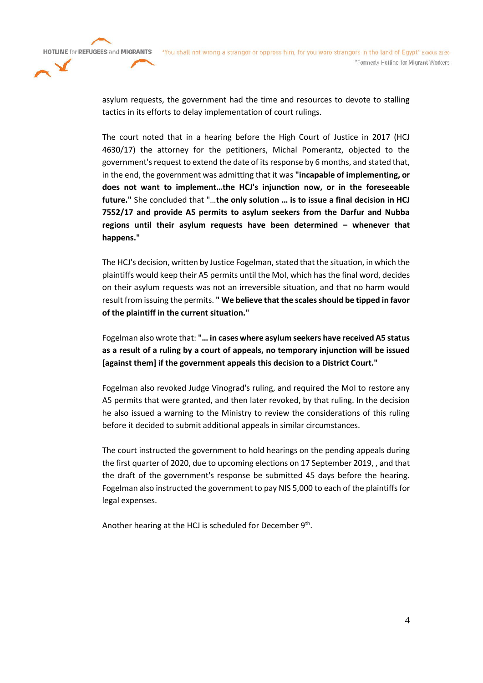

asylum requests, the government had the time and resources to devote to stalling tactics in its efforts to delay implementation of court rulings.

The court noted that in a hearing before the High Court of Justice in 2017 (HCJ 4630/17) the attorney for the petitioners, Michal Pomerantz, objected to the government's request to extend the date of its response by 6 months, and stated that, in the end, the government was admitting that it was **"incapable of implementing, or does not want to implement…the HCJ's injunction now, or in the foreseeable future."** She concluded that "…**the only solution … is to issue a final decision in HCJ 7552/17 and provide A5 permits to asylum seekers from the Darfur and Nubba regions until their asylum requests have been determined – whenever that happens."**

The HCJ's decision, written by Justice Fogelman, stated that the situation, in which the plaintiffs would keep their A5 permits until the MoI, which has the final word, decides on their asylum requests was not an irreversible situation, and that no harm would result from issuing the permits. **" We believe that the scales should be tipped in favor of the plaintiff in the current situation."**

Fogelman also wrote that: **"… in cases where asylum seekers have received A5 status as a result of a ruling by a court of appeals, no temporary injunction will be issued [against them] if the government appeals this decision to a District Court."**

Fogelman also revoked Judge Vinograd's ruling, and required the MoI to restore any A5 permits that were granted, and then later revoked, by that ruling. In the decision he also issued a warning to the Ministry to review the considerations of this ruling before it decided to submit additional appeals in similar circumstances.

The court instructed the government to hold hearings on the pending appeals during the first quarter of 2020, due to upcoming elections on 17 September 2019, , and that the draft of the government's response be submitted 45 days before the hearing. Fogelman also instructed the government to pay NIS 5,000 to each of the plaintiffs for legal expenses.

Another hearing at the HCJ is scheduled for December 9<sup>th</sup>.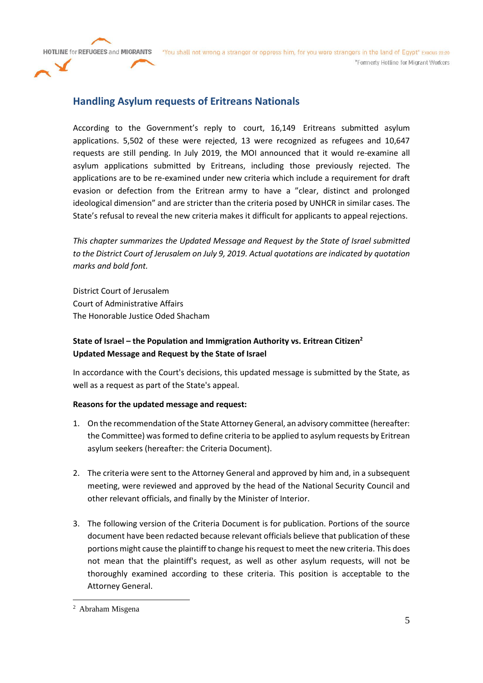**HOTLINE for REFUGEES and MIGRANTS** 

"You shall not wrong a stranger or oppress him, for you were strangers in the land of Egypt" Exodus 22:20 \*Formerly Hotline for Migrant Workers

# **Handling Asylum requests of Eritreans Nationals**

According to the Government's reply to court, 16,149 Eritreans submitted asylum applications. 5,502 of these were rejected, 13 were recognized as refugees and 10,647 requests are still pending. In July 2019, the MOI announced that it would re-examine all asylum applications submitted by Eritreans, including those previously rejected. The applications are to be re-examined under new criteria which include a requirement for draft evasion or defection from the Eritrean army to have a "clear, distinct and prolonged ideological dimension" and are stricter than the criteria posed by UNHCR in similar cases. The State's refusal to reveal the new criteria makes it difficult for applicants to appeal rejections.

*This chapter summarizes the Updated Message and Request by the State of Israel submitted to the District Court of Jerusalem on July 9, 2019. Actual quotations are indicated by quotation marks and bold font.*

District Court of Jerusalem Court of Administrative Affairs The Honorable Justice Oded Shacham

## **State of Israel – the Population and Immigration Authority vs. Eritrean Citizen<sup>2</sup> Updated Message and Request by the State of Israel**

In accordance with the Court's decisions, this updated message is submitted by the State, as well as a request as part of the State's appeal.

### **Reasons for the updated message and request:**

- 1. On the recommendation of the State Attorney General, an advisory committee (hereafter: the Committee) was formed to define criteria to be applied to asylum requests by Eritrean asylum seekers (hereafter: the Criteria Document).
- 2. The criteria were sent to the Attorney General and approved by him and, in a subsequent meeting, were reviewed and approved by the head of the National Security Council and other relevant officials, and finally by the Minister of Interior.
- 3. The following version of the Criteria Document is for publication. Portions of the source document have been redacted because relevant officials believe that publication of these portions might cause the plaintiff to change his request to meet the new criteria. This does not mean that the plaintiff's request, as well as other asylum requests, will not be thoroughly examined according to these criteria. This position is acceptable to the Attorney General.

<sup>2</sup> Abraham Misgena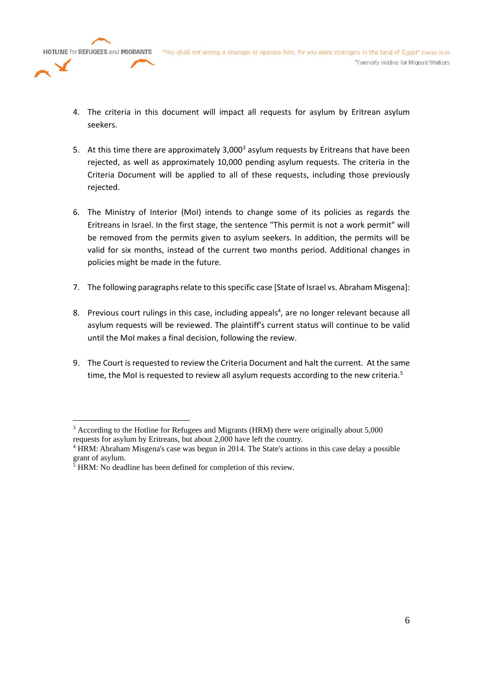

- 4. The criteria in this document will impact all requests for asylum by Eritrean asylum seekers.
- 5. At this time there are approximately  $3,000^3$  asylum requests by Eritreans that have been rejected, as well as approximately 10,000 pending asylum requests. The criteria in the Criteria Document will be applied to all of these requests, including those previously rejected.
- 6. The Ministry of Interior (MoI) intends to change some of its policies as regards the Eritreans in Israel. In the first stage, the sentence "This permit is not a work permit" will be removed from the permits given to asylum seekers. In addition, the permits will be valid for six months, instead of the current two months period. Additional changes in policies might be made in the future.
- 7. The following paragraphs relate to this specific case [State of Israel vs. Abraham Misgena]:
- 8. Previous court rulings in this case, including appeals<sup>4</sup>, are no longer relevant because all asylum requests will be reviewed. The plaintiff's current status will continue to be valid until the MoI makes a final decision, following the review.
- 9. The Court is requested to review the Criteria Document and halt the current. At the same time, the MoI is requested to review all asylum requests according to the new criteria.<sup>5</sup>

<sup>3</sup> According to the Hotline for Refugees and Migrants (HRM) there were originally about 5,000 requests for asylum by Eritreans, but about 2,000 have left the country.

<sup>4</sup> HRM: Abraham Misgena's case was begun in 2014. The State's actions in this case delay a possible grant of asylum.

 $5$  HRM: No deadline has been defined for completion of this review.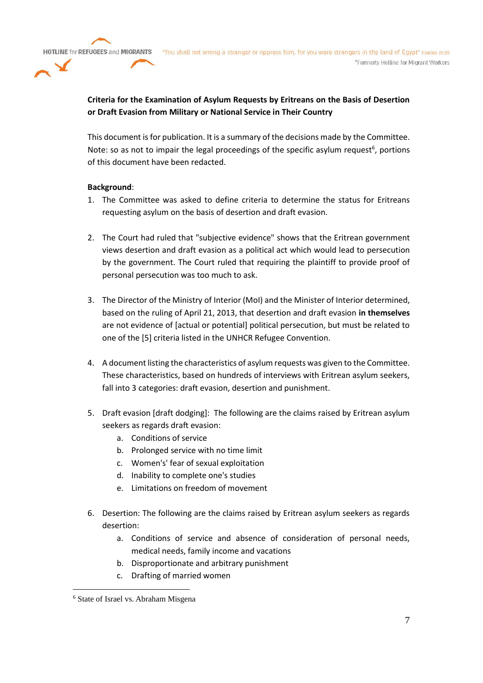## **Criteria for the Examination of Asylum Requests by Eritreans on the Basis of Desertion or Draft Evasion from Military or National Service in Their Country**

This document is for publication. It is a summary of the decisions made by the Committee. Note: so as not to impair the legal proceedings of the specific asylum request<sup>6</sup>, portions of this document have been redacted.

#### **Background**:

- 1. The Committee was asked to define criteria to determine the status for Eritreans requesting asylum on the basis of desertion and draft evasion.
- 2. The Court had ruled that "subjective evidence" shows that the Eritrean government views desertion and draft evasion as a political act which would lead to persecution by the government. The Court ruled that requiring the plaintiff to provide proof of personal persecution was too much to ask.
- 3. The Director of the Ministry of Interior (MoI) and the Minister of Interior determined, based on the ruling of April 21, 2013, that desertion and draft evasion **in themselves** are not evidence of [actual or potential] political persecution, but must be related to one of the [5] criteria listed in the UNHCR Refugee Convention.
- 4. A document listing the characteristics of asylum requests was given to the Committee. These characteristics, based on hundreds of interviews with Eritrean asylum seekers, fall into 3 categories: draft evasion, desertion and punishment.
- 5. Draft evasion [draft dodging]: The following are the claims raised by Eritrean asylum seekers as regards draft evasion:
	- a. Conditions of service
	- b. Prolonged service with no time limit
	- c. Women's' fear of sexual exploitation
	- d. Inability to complete one's studies
	- e. Limitations on freedom of movement
- 6. Desertion: The following are the claims raised by Eritrean asylum seekers as regards desertion:
	- a. Conditions of service and absence of consideration of personal needs, medical needs, family income and vacations
	- b. Disproportionate and arbitrary punishment
	- c. Drafting of married women

<sup>6</sup> State of Israel vs. Abraham Misgena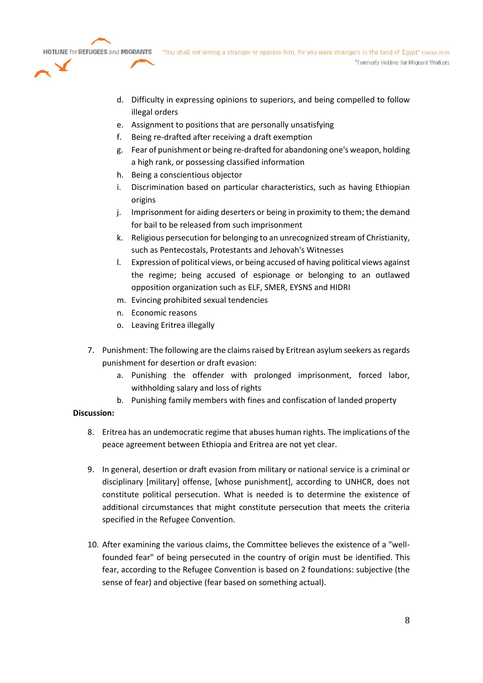

- d. Difficulty in expressing opinions to superiors, and being compelled to follow illegal orders
- e. Assignment to positions that are personally unsatisfying
- f. Being re-drafted after receiving a draft exemption
- g. Fear of punishment or being re-drafted for abandoning one's weapon, holding a high rank, or possessing classified information
- h. Being a conscientious objector
- i. Discrimination based on particular characteristics, such as having Ethiopian origins
- j. Imprisonment for aiding deserters or being in proximity to them; the demand for bail to be released from such imprisonment
- k. Religious persecution for belonging to an unrecognized stream of Christianity, such as Pentecostals, Protestants and Jehovah's Witnesses
- l. Expression of political views, or being accused of having political views against the regime; being accused of espionage or belonging to an outlawed opposition organization such as ELF, SMER, EYSNS and HIDRI
- m. Evincing prohibited sexual tendencies
- n. Economic reasons
- o. Leaving Eritrea illegally
- 7. Punishment: The following are the claims raised by Eritrean asylum seekers as regards punishment for desertion or draft evasion:
	- a. Punishing the offender with prolonged imprisonment, forced labor, withholding salary and loss of rights
	- b. Punishing family members with fines and confiscation of landed property

#### **Discussion:**

- 8. Eritrea has an undemocratic regime that abuses human rights. The implications of the peace agreement between Ethiopia and Eritrea are not yet clear.
- 9. In general, desertion or draft evasion from military or national service is a criminal or disciplinary [military] offense, [whose punishment], according to UNHCR, does not constitute political persecution. What is needed is to determine the existence of additional circumstances that might constitute persecution that meets the criteria specified in the Refugee Convention.
- 10. After examining the various claims, the Committee believes the existence of a "wellfounded fear" of being persecuted in the country of origin must be identified. This fear, according to the Refugee Convention is based on 2 foundations: subjective (the sense of fear) and objective (fear based on something actual).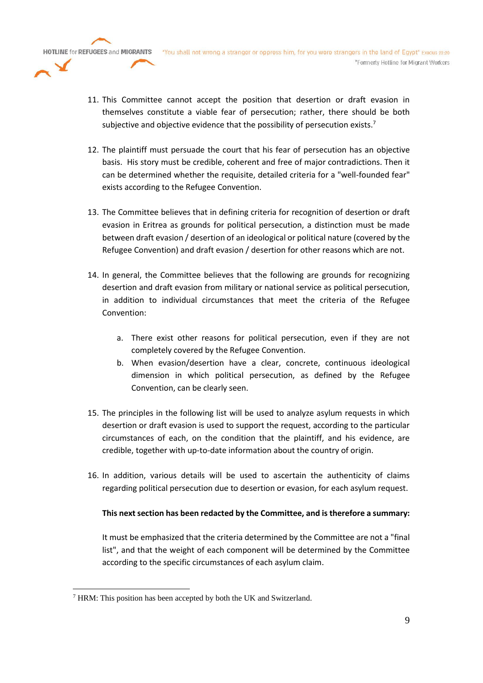

- 12. The plaintiff must persuade the court that his fear of persecution has an objective basis. His story must be credible, coherent and free of major contradictions. Then it can be determined whether the requisite, detailed criteria for a "well-founded fear" exists according to the Refugee Convention.
- 13. The Committee believes that in defining criteria for recognition of desertion or draft evasion in Eritrea as grounds for political persecution, a distinction must be made between draft evasion / desertion of an ideological or political nature (covered by the Refugee Convention) and draft evasion / desertion for other reasons which are not.
- 14. In general, the Committee believes that the following are grounds for recognizing desertion and draft evasion from military or national service as political persecution, in addition to individual circumstances that meet the criteria of the Refugee Convention:
	- a. There exist other reasons for political persecution, even if they are not completely covered by the Refugee Convention.
	- b. When evasion/desertion have a clear, concrete, continuous ideological dimension in which political persecution, as defined by the Refugee Convention, can be clearly seen.
- 15. The principles in the following list will be used to analyze asylum requests in which desertion or draft evasion is used to support the request, according to the particular circumstances of each, on the condition that the plaintiff, and his evidence, are credible, together with up-to-date information about the country of origin.
- 16. In addition, various details will be used to ascertain the authenticity of claims regarding political persecution due to desertion or evasion, for each asylum request.

### **This next section has been redacted by the Committee, and is therefore a summary:**

It must be emphasized that the criteria determined by the Committee are not a "final list", and that the weight of each component will be determined by the Committee according to the specific circumstances of each asylum claim.

<sup>7</sup> HRM: This position has been accepted by both the UK and Switzerland.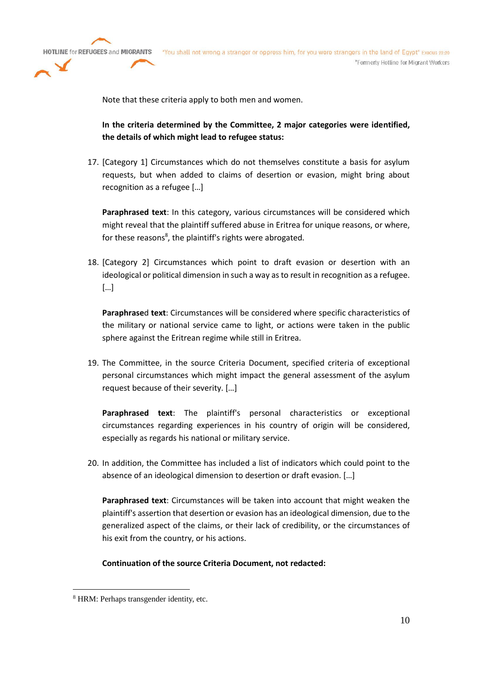

Note that these criteria apply to both men and women.

**In the criteria determined by the Committee, 2 major categories were identified, the details of which might lead to refugee status:**

17. [Category 1] Circumstances which do not themselves constitute a basis for asylum requests, but when added to claims of desertion or evasion, might bring about recognition as a refugee […]

**Paraphrased text**: In this category, various circumstances will be considered which might reveal that the plaintiff suffered abuse in Eritrea for unique reasons, or where, for these reasons<sup>8</sup>, the plaintiff's rights were abrogated.

18. [Category 2] Circumstances which point to draft evasion or desertion with an ideological or political dimension in such a way as to result in recognition as a refugee. […]

**Paraphrase**d **text**: Circumstances will be considered where specific characteristics of the military or national service came to light, or actions were taken in the public sphere against the Eritrean regime while still in Eritrea.

19. The Committee, in the source Criteria Document, specified criteria of exceptional personal circumstances which might impact the general assessment of the asylum request because of their severity. […]

**Paraphrased text**: The plaintiff's personal characteristics or exceptional circumstances regarding experiences in his country of origin will be considered, especially as regards his national or military service.

20. In addition, the Committee has included a list of indicators which could point to the absence of an ideological dimension to desertion or draft evasion. […]

**Paraphrased text**: Circumstances will be taken into account that might weaken the plaintiff's assertion that desertion or evasion has an ideological dimension, due to the generalized aspect of the claims, or their lack of credibility, or the circumstances of his exit from the country, or his actions.

**Continuation of the source Criteria Document, not redacted:**

<sup>8</sup> HRM: Perhaps transgender identity, etc.